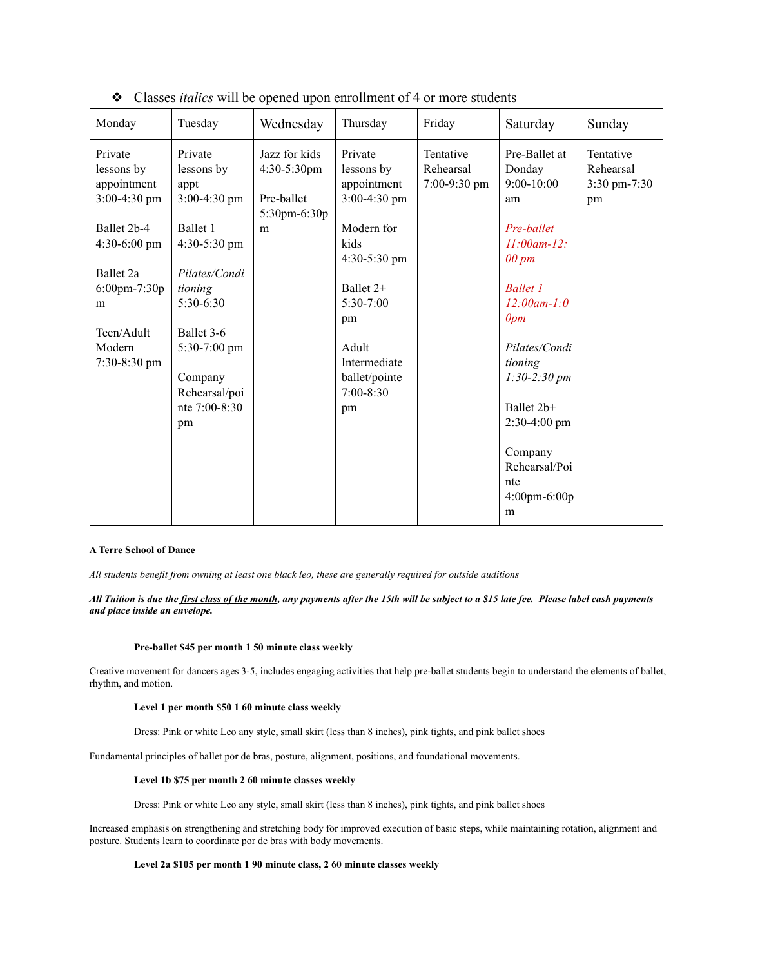| Monday                                                                                                                                                                   | Tuesday                                                                                                                                                                                               | Wednesday                                                              | Thursday                                                                                                                                                                                        | Friday                                 | Saturday                                                                                                                                                                                                                                                                                                         | Sunday                                       |
|--------------------------------------------------------------------------------------------------------------------------------------------------------------------------|-------------------------------------------------------------------------------------------------------------------------------------------------------------------------------------------------------|------------------------------------------------------------------------|-------------------------------------------------------------------------------------------------------------------------------------------------------------------------------------------------|----------------------------------------|------------------------------------------------------------------------------------------------------------------------------------------------------------------------------------------------------------------------------------------------------------------------------------------------------------------|----------------------------------------------|
| Private<br>lessons by<br>appointment<br>$3:00-4:30$ pm<br>Ballet 2b-4<br>$4:30-6:00$ pm<br>Ballet 2a<br>$6:00$ pm-7:30p<br>m<br>Teen/Adult<br>Modern<br>$7:30 - 8:30$ pm | Private<br>lessons by<br>appt<br>3:00-4:30 pm<br>Ballet 1<br>4:30-5:30 pm<br>Pilates/Condi<br>tioning<br>5:30-6:30<br>Ballet 3-6<br>$5:30-7:00$ pm<br>Company<br>Rehearsal/poi<br>nte 7:00-8:30<br>pm | Jazz for kids<br>4:30-5:30pm<br>Pre-ballet<br>$5:30$ pm $-6:30$ p<br>m | Private<br>lessons by<br>appointment<br>$3:00-4:30$ pm<br>Modern for<br>kids<br>4:30-5:30 pm<br>Ballet 2+<br>$5:30-7:00$<br>pm<br>Adult<br>Intermediate<br>ballet/pointe<br>$7:00 - 8:30$<br>pm | Tentative<br>Rehearsal<br>7:00-9:30 pm | Pre-Ballet at<br>Donday<br>$9:00 - 10:00$<br>am<br>Pre-ballet<br>$11:00$ am-12:<br>$00 \, \text{pm}$<br><b>Ballet 1</b><br>$12:00$ am- $1:0$<br>0pm<br>Pilates/Condi<br>tioning<br>$1:30-2:30 \, \text{pm}$<br>Ballet 2b+<br>$2:30-4:00$ pm<br>Company<br>Rehearsal/Poi<br>nte<br>$4:00 \text{pm-}6:00 \text{p}$ | Tentative<br>Rehearsal<br>3:30 pm-7:30<br>pm |
|                                                                                                                                                                          |                                                                                                                                                                                                       |                                                                        |                                                                                                                                                                                                 |                                        | m                                                                                                                                                                                                                                                                                                                |                                              |

❖ Classes *italics* will be opened upon enrollment of 4 or more students

# **A Terre School of Dance**

*All students benefit from owning at least one black leo, these are generally required for outside auditions*

*All Tuition is due the first class of the month, any payments after the 15th will be subject to a \$15 late fee. Please label cash payments and place inside an envelope.*

### **Pre-ballet \$45 per month 1 50 minute class weekly**

Creative movement for dancers ages 3-5, includes engaging activities that help pre-ballet students begin to understand the elements of ballet, rhythm, and motion.

# **Level 1 per month \$50 1 60 minute class weekly**

Dress: Pink or white Leo any style, small skirt (less than 8 inches), pink tights, and pink ballet shoes

Fundamental principles of ballet por de bras, posture, alignment, positions, and foundational movements.

### **Level 1b \$75 per month 2 60 minute classes weekly**

Dress: Pink or white Leo any style, small skirt (less than 8 inches), pink tights, and pink ballet shoes

Increased emphasis on strengthening and stretching body for improved execution of basic steps, while maintaining rotation, alignment and posture. Students learn to coordinate por de bras with body movements.

# **Level 2a \$105 per month 1 90 minute class, 2 60 minute classes weekly**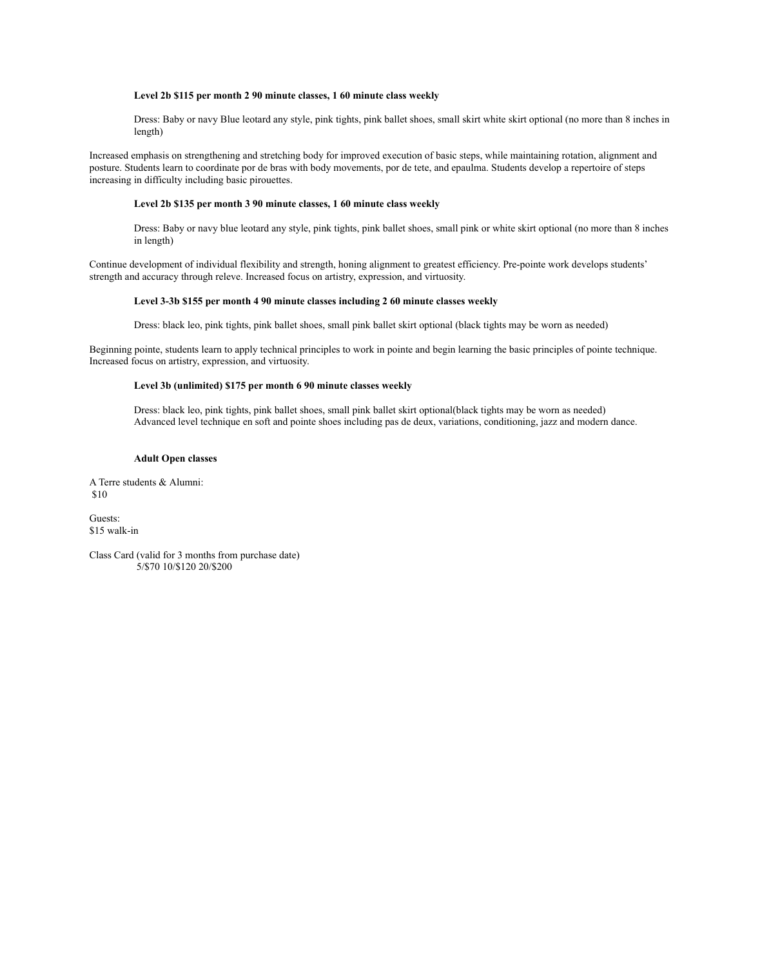### **Level 2b \$115 per month 2 90 minute classes, 1 60 minute class weekly**

Dress: Baby or navy Blue leotard any style, pink tights, pink ballet shoes, small skirt white skirt optional (no more than 8 inches in length)

Increased emphasis on strengthening and stretching body for improved execution of basic steps, while maintaining rotation, alignment and posture. Students learn to coordinate por de bras with body movements, por de tete, and epaulma. Students develop a repertoire of steps increasing in difficulty including basic pirouettes.

## **Level 2b \$135 per month 3 90 minute classes, 1 60 minute class weekly**

Dress: Baby or navy blue leotard any style, pink tights, pink ballet shoes, small pink or white skirt optional (no more than 8 inches in length)

Continue development of individual flexibility and strength, honing alignment to greatest efficiency. Pre-pointe work develops students' strength and accuracy through releve. Increased focus on artistry, expression, and virtuosity.

## **Level 3-3b \$155 per month 4 90 minute classes including 2 60 minute classes weekly**

Dress: black leo, pink tights, pink ballet shoes, small pink ballet skirt optional (black tights may be worn as needed)

Beginning pointe, students learn to apply technical principles to work in pointe and begin learning the basic principles of pointe technique. Increased focus on artistry, expression, and virtuosity.

## **Level 3b (unlimited) \$175 per month 6 90 minute classes weekly**

Dress: black leo, pink tights, pink ballet shoes, small pink ballet skirt optional(black tights may be worn as needed) Advanced level technique en soft and pointe shoes including pas de deux, variations, conditioning, jazz and modern dance.

## **Adult Open classes**

A Terre students & Alumni: \$10

Guests: \$15 walk-in

Class Card (valid for 3 months from purchase date) 5/\$70 10/\$120 20/\$200